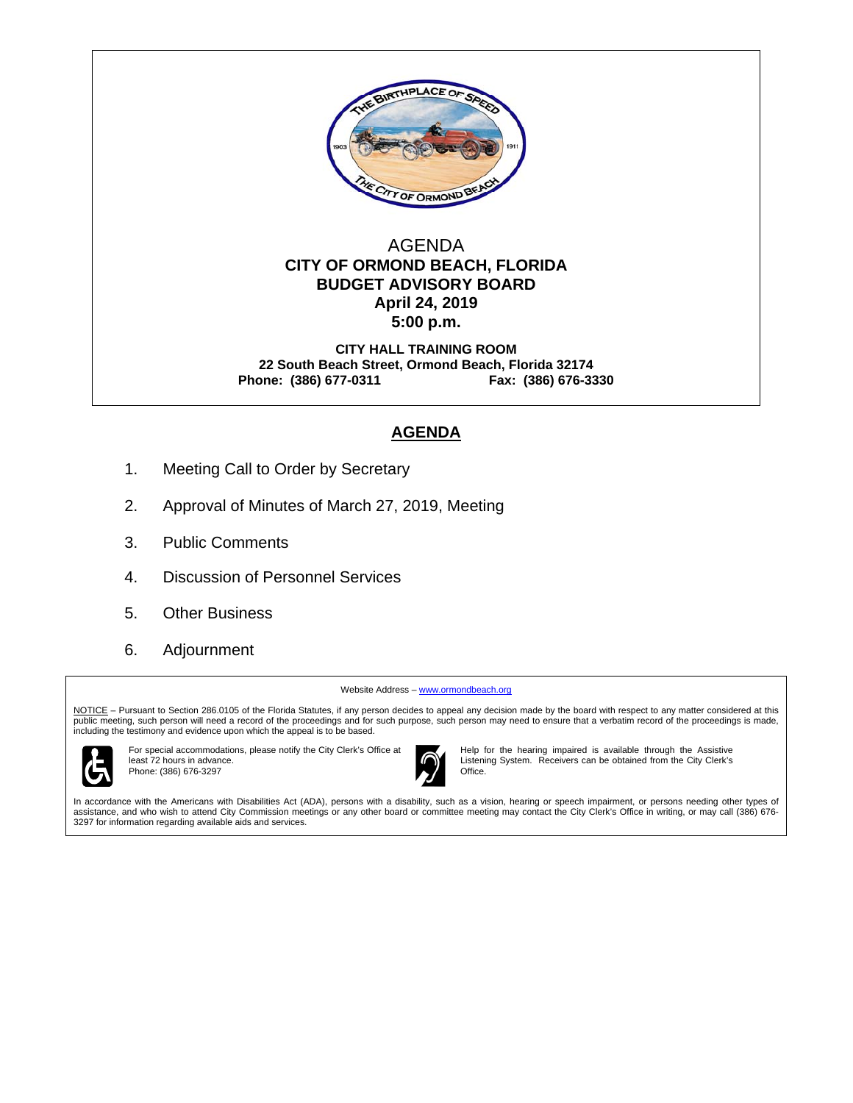

#### AGENDA  **CITY OF ORMOND BEACH, FLORIDA BUDGET ADVISORY BOARD April 24, 2019 5:00 p.m.**

**CITY HALL TRAINING ROOM 22 South Beach Street, Ormond Beach, Florida 32174 Phone: (386) 677-0311 Fax: (386) 676-3330** 

#### **AGENDA**

- 1. Meeting Call to Order by Secretary
- 2. Approval of Minutes of March 27, 2019, Meeting
- 3. Public Comments
- 4. Discussion of Personnel Services
- 5. Other Business
- 6. Adjournment

Website Address - www.ormondbeach.org

NOTICE - Pursuant to Section 286.0105 of the Florida Statutes, if any person decides to appeal any decision made by the board with respect to any matter considered at this public meeting, such person will need a record of the proceedings and for such purpose, such person may need to ensure that a verbatim record of the proceedings is made, including the testimony and evidence upon which the appeal is to be based.



For special accommodations, please notify the City Clerk's Office at least 72 hours in advance. Phone: (386) 676-3297



Help for the hearing impaired is available through the Assistive Listening System. Receivers can be obtained from the City Clerk's Office.

In accordance with the Americans with Disabilities Act (ADA), persons with a disability, such as a vision, hearing or speech impairment, or persons needing other types of assistance, and who wish to attend City Commission meetings or any other board or committee meeting may contact the City Clerk's Office in writing, or may call (386) 676- 3297 for information regarding available aids and services.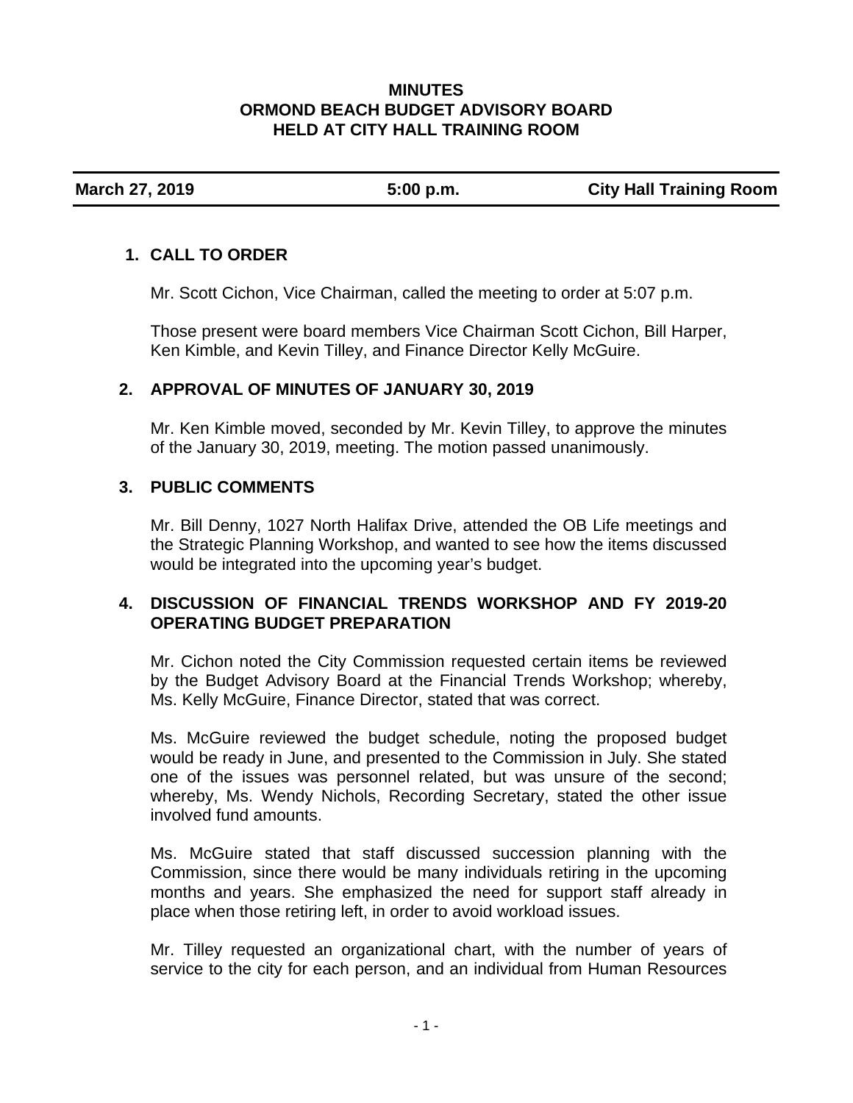### **MINUTES ORMOND BEACH BUDGET ADVISORY BOARD HELD AT CITY HALL TRAINING ROOM**

**March 27, 2019 5:00 p.m. City Hall Training Room** 

## **1. CALL TO ORDER**

Mr. Scott Cichon, Vice Chairman, called the meeting to order at 5:07 p.m.

Those present were board members Vice Chairman Scott Cichon, Bill Harper, Ken Kimble, and Kevin Tilley, and Finance Director Kelly McGuire.

# **2. APPROVAL OF MINUTES OF JANUARY 30, 2019**

Mr. Ken Kimble moved, seconded by Mr. Kevin Tilley, to approve the minutes of the January 30, 2019, meeting. The motion passed unanimously.

### **3. PUBLIC COMMENTS**

Mr. Bill Denny, 1027 North Halifax Drive, attended the OB Life meetings and the Strategic Planning Workshop, and wanted to see how the items discussed would be integrated into the upcoming year's budget.

# **4. DISCUSSION OF FINANCIAL TRENDS WORKSHOP AND FY 2019-20 OPERATING BUDGET PREPARATION**

Mr. Cichon noted the City Commission requested certain items be reviewed by the Budget Advisory Board at the Financial Trends Workshop; whereby, Ms. Kelly McGuire, Finance Director, stated that was correct.

Ms. McGuire reviewed the budget schedule, noting the proposed budget would be ready in June, and presented to the Commission in July. She stated one of the issues was personnel related, but was unsure of the second; whereby, Ms. Wendy Nichols, Recording Secretary, stated the other issue involved fund amounts.

Ms. McGuire stated that staff discussed succession planning with the Commission, since there would be many individuals retiring in the upcoming months and years. She emphasized the need for support staff already in place when those retiring left, in order to avoid workload issues.

Mr. Tilley requested an organizational chart, with the number of years of service to the city for each person, and an individual from Human Resources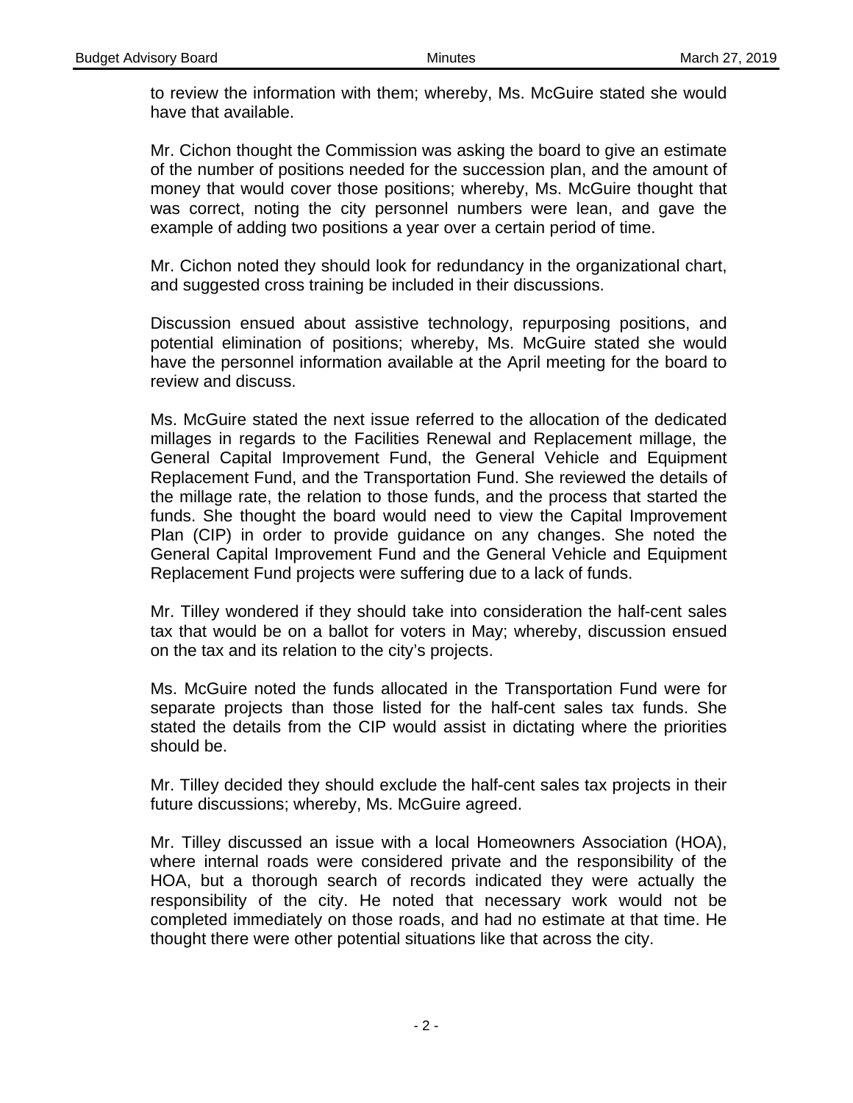to review the information with them; whereby, Ms. McGuire stated she would have that available.

Mr. Cichon thought the Commission was asking the board to give an estimate of the number of positions needed for the succession plan, and the amount of money that would cover those positions; whereby, Ms. McGuire thought that was correct, noting the city personnel numbers were lean, and gave the example of adding two positions a year over a certain period of time.

Mr. Cichon noted they should look for redundancy in the organizational chart, and suggested cross training be included in their discussions.

Discussion ensued about assistive technology, repurposing positions, and potential elimination of positions; whereby, Ms. McGuire stated she would have the personnel information available at the April meeting for the board to review and discuss.

Ms. McGuire stated the next issue referred to the allocation of the dedicated millages in regards to the Facilities Renewal and Replacement millage, the General Capital Improvement Fund, the General Vehicle and Equipment Replacement Fund, and the Transportation Fund. She reviewed the details of the millage rate, the relation to those funds, and the process that started the funds. She thought the board would need to view the Capital Improvement Plan (CIP) in order to provide guidance on any changes. She noted the General Capital Improvement Fund and the General Vehicle and Equipment Replacement Fund projects were suffering due to a lack of funds.

Mr. Tilley wondered if they should take into consideration the half-cent sales tax that would be on a ballot for voters in May; whereby, discussion ensued on the tax and its relation to the city's projects.

Ms. McGuire noted the funds allocated in the Transportation Fund were for separate projects than those listed for the half-cent sales tax funds. She stated the details from the CIP would assist in dictating where the priorities should be.

Mr. Tilley decided they should exclude the half-cent sales tax projects in their future discussions; whereby, Ms. McGuire agreed.

Mr. Tilley discussed an issue with a local Homeowners Association (HOA), where internal roads were considered private and the responsibility of the HOA, but a thorough search of records indicated they were actually the responsibility of the city. He noted that necessary work would not be completed immediately on those roads, and had no estimate at that time. He thought there were other potential situations like that across the city.